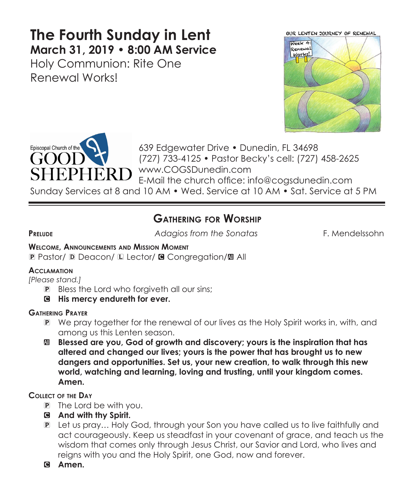# **The Fourth Sunday in Lent March 31, 2019 • 8:00 AM Service**

Holy Communion: Rite One Renewal Works!







639 Edgewater Drive • Dunedin, FL 34698 (727) 733-4125 • Pastor Becky's cell: (727) 458-2625 ERD **www.COGSDunedin.com** E-Mail the church office: info@cogsdunedin.com

Sunday Services at 8 and 10 AM • Wed. Service at 10 AM • Sat. Service at 5 PM

## **Gathering for Worship**

**Prelude** *Adagios from the Sonatas* F. Mendelssohn

**Welcome, Announcements and Mission Moment**

P Pastor/ D Deacon/ L Lector/ G Congregation/M All

#### **Acclamation**

*[Please stand.]* 

- P Bless the Lord who forgiveth all our sins;
- C **His mercy endureth for ever.**

#### **Gathering Prayer**

- P We pray together for the renewal of our lives as the Holy Spirit works in, with, and among us this Lenten season.
- a **Blessed are you, God of growth and discovery; yours is the inspiration that has altered and changed our lives; yours is the power that has brought us to new dangers and opportunities. Set us, your new creation, to walk through this new world, watching and learning, loving and trusting, until your kingdom comes. Amen.**

#### **Collect of the Day**

- P The Lord be with you.
- C **And with thy Spirit.**
- P Let us pray… Holy God, through your Son you have called us to live faithfully and act courageously. Keep us steadfast in your covenant of grace, and teach us the wisdom that comes only through Jesus Christ, our Savior and Lord, who lives and reigns with you and the Holy Spirit, one God, now and forever.
- C **Amen.**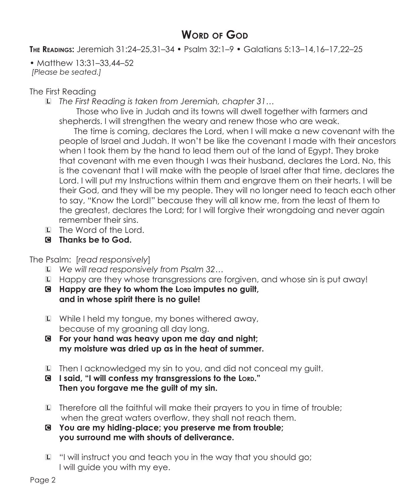## **Word of God**

**The Readings:** Jeremiah 31:24–25,31–34 • Psalm 32:1–9 • Galatians 5:13–14,16–17,22–25

• Matthew 13:31–33,44–52 *[Please be seated.]*

#### The First Reading

L *The First Reading is taken from Jeremiah, chapter 31…*

 Those who live in Judah and its towns will dwell together with farmers and shepherds. I will strengthen the weary and renew those who are weak.

 The time is coming, declares the Lord, when I will make a new covenant with the people of Israel and Judah. It won't be like the covenant I made with their ancestors when I took them by the hand to lead them out of the land of Egypt. They broke that covenant with me even though I was their husband, declares the Lord. No, this is the covenant that I will make with the people of Israel after that time, declares the Lord. I will put my Instructions within them and engrave them on their hearts. I will be their God, and they will be my people. They will no longer need to teach each other to say, "Know the Lord!" because they will all know me, from the least of them to the greatest, declares the Lord; for I will forgive their wrongdoing and never again remember their sins.

- L The Word of the Lord.
- C **Thanks be to God.**

The Psalm: [*read responsively*]

- L *We will read responsively from Psalm 32…*
- L Happy are they whose transgressions are forgiven, and whose sin is put away!
- C **Happy are they to whom the Lord imputes no guilt, and in whose spirit there is no guile!**
- L While I held my tongue, my bones withered away, because of my groaning all day long.
- C **For your hand was heavy upon me day and night; my moisture was dried up as in the heat of summer.**
- L Then I acknowledged my sin to you, and did not conceal my guilt.
- C **I said, "I will confess my transgressions to the Lord." Then you forgave me the guilt of my sin.**
- L Therefore all the faithful will make their prayers to you in time of trouble; when the great waters overflow, they shall not reach them.
- C **You are my hiding-place; you preserve me from trouble; you surround me with shouts of deliverance.**
- L "I will instruct you and teach you in the way that you should go; I will guide you with my eye.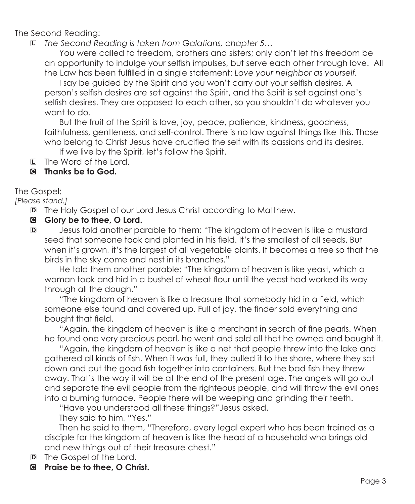The Second Reading:

L *The Second Reading is taken from Galatians, chapter 5…*

 You were called to freedom, brothers and sisters; only don't let this freedom be an opportunity to indulge your selfish impulses, but serve each other through love. All the Law has been fulfilled in a single statement: *Love your neighbor as yourself.*

I say be guided by the Spirit and you won't carry out your selfish desires. A person's selfish desires are set against the Spirit, and the Spirit is set against one's selfish desires. They are opposed to each other, so you shouldn't do whatever you want to do.

 But the fruit of the Spirit is love, joy, peace, patience, kindness, goodness, faithfulness, gentleness, and self-control. There is no law against things like this. Those who belong to Christ Jesus have crucified the self with its passions and its desires.

If we live by the Spirit, let's follow the Spirit.

L The Word of the Lord.

### C **Thanks be to God.**

The Gospel:

*[Please stand.]*

D The Holy Gospel of our Lord Jesus Christ according to Matthew.

#### G Glory be to thee, O Lord.

D Jesus told another parable to them: "The kingdom of heaven is like a mustard seed that someone took and planted in his field. It's the smallest of all seeds. But when it's grown, it's the largest of all vegetable plants. It becomes a tree so that the birds in the sky come and nest in its branches."

 He told them another parable: "The kingdom of heaven is like yeast, which a woman took and hid in a bushel of wheat flour until the yeast had worked its way through all the dough."

"The kingdom of heaven is like a treasure that somebody hid in a field, which someone else found and covered up. Full of joy, the finder sold everything and bought that field.

"Again, the kingdom of heaven is like a merchant in search of fine pearls. When he found one very precious pearl, he went and sold all that he owned and bought it.

 "Again, the kingdom of heaven is like a net that people threw into the lake and gathered all kinds of fish. When it was full, they pulled it to the shore, where they sat down and put the good fish together into containers. But the bad fish they threw away. That's the way it will be at the end of the present age. The angels will go out and separate the evil people from the righteous people, and will throw the evil ones into a burning furnace. People there will be weeping and grinding their teeth.

"Have you understood all these things?"Jesus asked.

They said to him, "Yes."

 Then he said to them, "Therefore, every legal expert who has been trained as a disciple for the kingdom of heaven is like the head of a household who brings old and new things out of their treasure chest."

- D The Gospel of the Lord.
- C **Praise be to thee, O Christ.**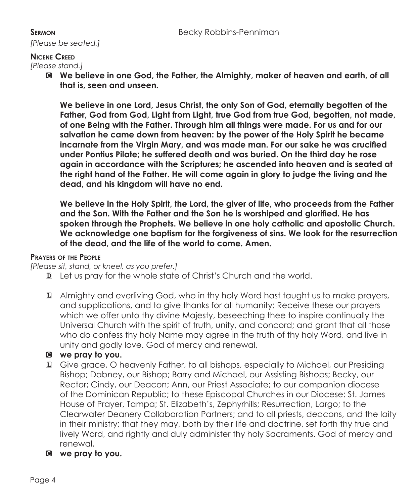*[Please be seated.]*

#### **Nicene Creed**

*[Please stand.]*

C **We believe in one God, the Father, the Almighty, maker of heaven and earth, of all that is, seen and unseen.** 

 **We believe in one Lord, Jesus Christ, the only Son of God, eternally begotten of the Father, God from God, Light from Light, true God from true God, begotten, not made, of one Being with the Father. Through him all things were made. For us and for our salvation he came down from heaven: by the power of the Holy Spirit he became incarnate from the Virgin Mary, and was made man. For our sake he was crucified under Pontius Pilate; he suffered death and was buried. On the third day he rose again in accordance with the Scriptures; he ascended into heaven and is seated at the right hand of the Father. He will come again in glory to judge the living and the dead, and his kingdom will have no end.**

 **We believe in the Holy Spirit, the Lord, the giver of life, who proceeds from the Father and the Son. With the Father and the Son he is worshiped and glorified. He has spoken through the Prophets. We believe in one holy catholic and apostolic Church. We acknowledge one baptism for the forgiveness of sins. We look for the resurrection of the dead, and the life of the world to come. Amen.**

#### **Prayers of the People**

*[Please sit, stand, or kneel, as you prefer.]*

- D Let us pray for the whole state of Christ's Church and the world.
- L Almighty and everliving God, who in thy holy Word hast taught us to make prayers, and supplications, and to give thanks for all humanity: Receive these our prayers which we offer unto thy divine Majesty, beseeching thee to inspire continually the Universal Church with the spirit of truth, unity, and concord; and grant that all those who do confess thy holy Name may agree in the truth of thy holy Word, and live in unity and godly love. God of mercy and renewal,
- C **we pray to you.**
- L Give grace, O heavenly Father, to all bishops, especially to Michael, our Presiding Bishop; Dabney, our Bishop; Barry and Michael, our Assisting Bishops; Becky, our Rector; Cindy, our Deacon; Ann, our Priest Associate; to our companion diocese of the Dominican Republic; to these Episcopal Churches in our Diocese: St. James House of Prayer, Tampa; St. Elizabeth's, Zephyrhills; Resurrection, Largo; to the Clearwater Deanery Collaboration Partners; and to all priests, deacons, and the laity in their ministry; that they may, both by their life and doctrine, set forth thy true and lively Word, and rightly and duly administer thy holy Sacraments. God of mercy and renewal,
- C **we pray to you.**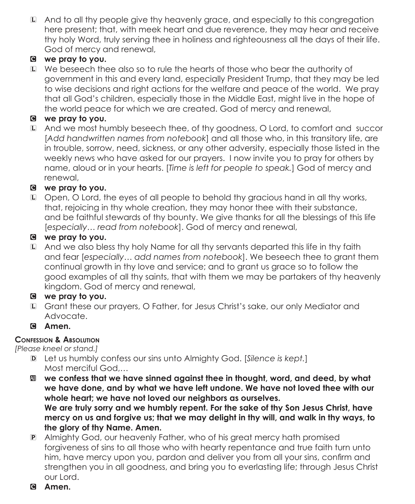L And to all thy people give thy heavenly grace, and especially to this congregation here present; that, with meek heart and due reverence, they may hear and receive thy holy Word, truly serving thee in holiness and righteousness all the days of their life. God of mercy and renewal,

#### C **we pray to you.**

L We beseech thee also so to rule the hearts of those who bear the authority of government in this and every land, especially President Trump, that they may be led to wise decisions and right actions for the welfare and peace of the world. We pray that all God's children, especially those in the Middle East, might live in the hope of the world peace for which we are created. God of mercy and renewal,

#### C **we pray to you.**

L And we most humbly beseech thee, of thy goodness, O Lord, to comfort and succor [*Add handwritten names from notebook*] and all those who, in this transitory life, are in trouble, sorrow, need, sickness, or any other adversity, especially those listed in the weekly news who have asked for our prayers. I now invite you to pray for others by name, aloud or in your hearts. [*Time is left for people to speak.*] God of mercy and renewal,

#### C **we pray to you.**

L Open, O Lord, the eyes of all people to behold thy gracious hand in all thy works, that, rejoicing in thy whole creation, they may honor thee with their substance, and be faithful stewards of thy bounty. We give thanks for all the blessings of this life [*especially… read from notebook*]. God of mercy and renewal,

#### C **we pray to you.**

L And we also bless thy holy Name for all thy servants departed this life in thy faith and fear [*especially… add names from notebook*]. We beseech thee to grant them continual growth in thy love and service; and to grant us grace so to follow the good examples of all thy saints, that with them we may be partakers of thy heavenly kingdom. God of mercy and renewal,

#### C **we pray to you.**

L Grant these our prayers, O Father, for Jesus Christ's sake, our only Mediator and Advocate.

#### C **Amen.**

#### **Confession & Absolution**

*[Please kneel or stand.]*

- D Let us humbly confess our sins unto Almighty God. [*Silence is kept.*] Most merciful God,…
- $\textbf{w}$  we confess that we have sinned against thee in thought, word, and deed, by what **we have done, and by what we have left undone. We have not loved thee with our whole heart; we have not loved our neighbors as ourselves. We are truly sorry and we humbly repent. For the sake of thy Son Jesus Christ, have mercy on us and forgive us; that we may delight in thy will, and walk in thy ways, to the glory of thy Name. Amen.**
- P Almighty God, our heavenly Father, who of his great mercy hath promised forgiveness of sins to all those who with hearty repentance and true faith turn unto him, have mercy upon you, pardon and deliver you from all your sins, confirm and strengthen you in all goodness, and bring you to everlasting life; through Jesus Christ our Lord.
- C **Amen.**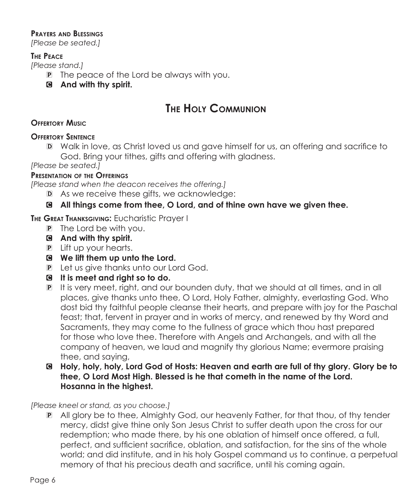#### **Prayers and Blessings**

*[Please be seated.]*

#### **The Peace**

*[Please stand.]*

- P The peace of the Lord be always with you.
- C **And with thy spirit.**

## **The Holy Communion**

#### **Offertory Music**

#### **Offertory Sentence**

D Walk in love, as Christ loved us and gave himself for us, an offering and sacrifice to God. Bring your tithes, gifts and offering with gladness.

*[Please be seated.]*

#### **Presentation of the Offerings**

*[Please stand when the deacon receives the offering.]*

- D As we receive these gifts, we acknowledge:
- C **All things come from thee, O Lord, and of thine own have we given thee.**

#### **The Great Thanksgiving:** Eucharistic Prayer I

- P The Lord be with you.
- C **And with thy spirit.**
- P Lift up your hearts.
- C **We lift them up unto the Lord.**
- P Let us give thanks unto our Lord God.
- C **It is meet and right so to do.**
- P It is very meet, right, and our bounden duty, that we should at all times, and in all places, give thanks unto thee, O Lord, Holy Father, almighty, everlasting God. Who dost bid thy faithful people cleanse their hearts, and prepare with joy for the Paschal feast; that, fervent in prayer and in works of mercy, and renewed by thy Word and Sacraments, they may come to the fullness of grace which thou hast prepared for those who love thee. Therefore with Angels and Archangels, and with all the company of heaven, we laud and magnify thy glorious Name; evermore praising thee, and saying,
- C **Holy, holy, holy, Lord God of Hosts: Heaven and earth are full of thy glory. Glory be to thee, O Lord Most High. Blessed is he that cometh in the name of the Lord. Hosanna in the highest.**

*[Please kneel or stand, as you choose.]*

P All glory be to thee, Almighty God, our heavenly Father, for that thou, of thy tender mercy, didst give thine only Son Jesus Christ to suffer death upon the cross for our redemption; who made there, by his one oblation of himself once offered, a full, perfect, and sufficient sacrifice, oblation, and satisfaction, for the sins of the whole world; and did institute, and in his holy Gospel command us to continue, a perpetual memory of that his precious death and sacrifice, until his coming again.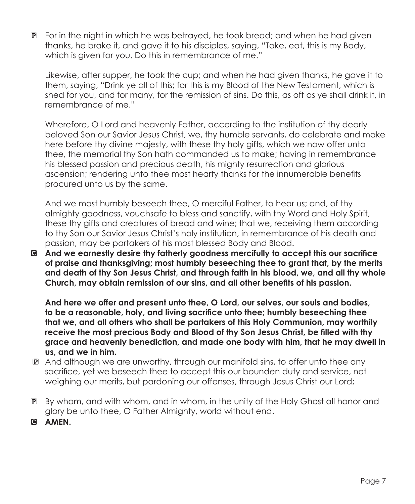P For in the night in which he was betrayed, he took bread; and when he had given thanks, he brake it, and gave it to his disciples, saying, "Take, eat, this is my Body, which is given for you. Do this in remembrance of me."

 Likewise, after supper, he took the cup; and when he had given thanks, he gave it to them, saying, "Drink ye all of this; for this is my Blood of the New Testament, which is shed for you, and for many, for the remission of sins. Do this, as oft as ye shall drink it, in remembrance of me."

 Wherefore, O Lord and heavenly Father, according to the institution of thy dearly beloved Son our Savior Jesus Christ, we, thy humble servants, do celebrate and make here before thy divine majesty, with these thy holy gifts, which we now offer unto thee, the memorial thy Son hath commanded us to make; having in remembrance his blessed passion and precious death, his mighty resurrection and glorious ascension; rendering unto thee most hearty thanks for the innumerable benefits procured unto us by the same.

 And we most humbly beseech thee, O merciful Father, to hear us; and, of thy almighty goodness, vouchsafe to bless and sanctify, with thy Word and Holy Spirit, these thy gifts and creatures of bread and wine; that we, receiving them according to thy Son our Savior Jesus Christ's holy institution, in remembrance of his death and passion, may be partakers of his most blessed Body and Blood.

C **And we earnestly desire thy fatherly goodness mercifully to accept this our sacrifice of praise and thanksgiving; most humbly beseeching thee to grant that, by the merits and death of thy Son Jesus Christ, and through faith in his blood, we, and all thy whole Church, may obtain remission of our sins, and all other benefits of his passion.**

 **And here we offer and present unto thee, O Lord, our selves, our souls and bodies, to be a reasonable, holy, and living sacrifice unto thee; humbly beseeching thee that we, and all others who shall be partakers of this Holy Communion, may worthily receive the most precious Body and Blood of thy Son Jesus Christ, be filled with thy grace and heavenly benediction, and made one body with him, that he may dwell in us, and we in him.** 

- P And although we are unworthy, through our manifold sins, to offer unto thee any sacrifice, yet we beseech thee to accept this our bounden duty and service, not weighing our merits, but pardoning our offenses, through Jesus Christ our Lord;
- P By whom, and with whom, and in whom, in the unity of the Holy Ghost all honor and glory be unto thee, O Father Almighty, world without end.
- **G AMFN**